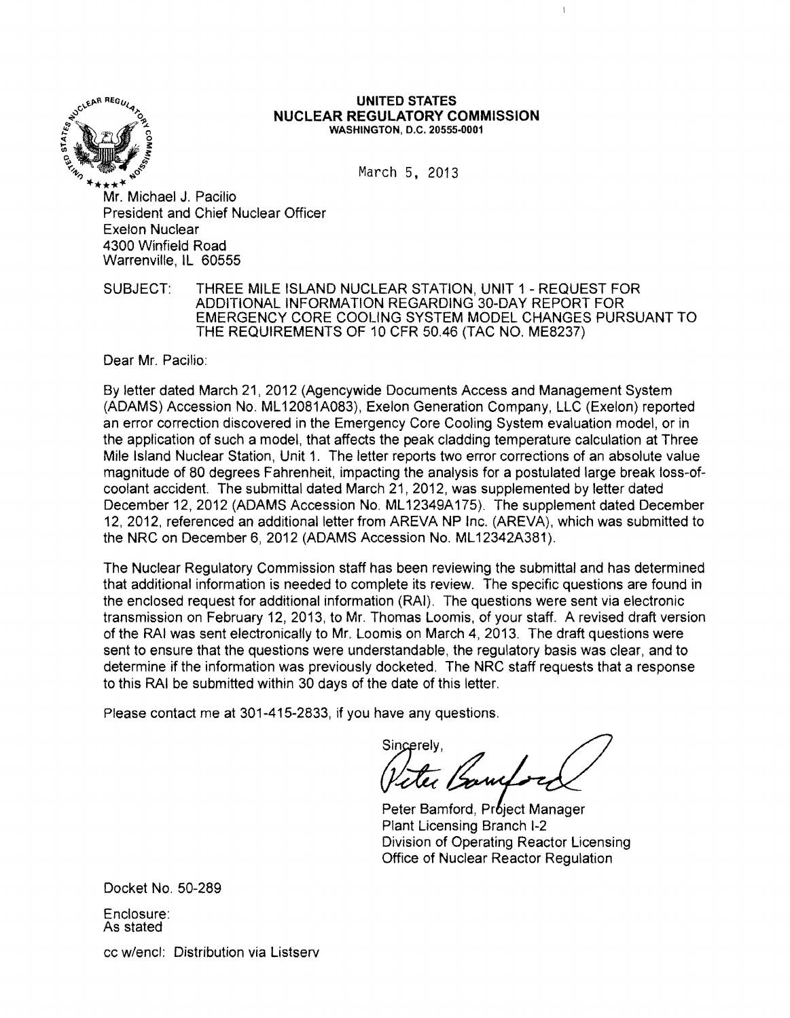

#### \.~p.1\ REGU/ \_ **UNITED STATES NUCLEAR REGULATORY COMMISSION** WASHINGTON, D.C. 20555-0001

 $\overline{1}$ 

\*\*\*\*\*<br>Mr. Michael J. Pacilio President and Chief Nuclear Officer Exelon Nuclear 4300 Winfield Road Warrenville, IL 60555

SUBJECT: THREE MILE ISLAND NUCLEAR STATION, UNIT 1 - REQUEST FOR ADDITIONAL INFORMATION REGARDING 30-DAY REPORT FOR EMERGENCY CORE COOLING SYSTEM MODEL CHANGES PURSUANT TO THE REQUIREMENTS OF 10 CFR 50.46 (TAC NO. ME8237)

Dear Mr. Pacilio:

By letter dated March 21,2012 (Agencywide Documents Access and Management System (ADAMS) Accession No. ML 12081A083), Exelon Generation Company, LLC (Exelon) reported an error correction discovered in the Emergency Core Cooling System evaluation model, or in the application of such a model, that affects the peak cladding temperature calculation at Three Mile Island Nuclear Station, Unit 1. The letter reports two error corrections of an absolute value magnitude of 80 degrees Fahrenheit, impacting the analysis for a postulated large break loss-ofcoolant accident. The submittal dated March 21, 2012, was supplemented by letter dated December 12, 2012 (ADAMS Accession No. ML 12349A175). The supplement dated December 12,2012, referenced an additional letter from AREVA NP Inc. (AREVA), which was submitted to the NRC on December 6, 2012 (ADAMS Accession No. ML12342A381).

The Nuclear Regulatory Commission staff has been reviewing the submittal and has determined that additional information is needed to complete its review. The specific questions are found in the enclosed request for additional information (RAI). The questions were sent via electronic transmission on February 12, 2013, to Mr. Thomas Loomis, of your staff. A revised draft version of the RAI was sent electronically to Mr. Loomis on March 4,2013. The draft questions were sent to ensure that the questions were understandable, the regulatory basis was clear, and to determine if the information was previously docketed. The NRC staff requests that a response to this RAI be submitted within 30 days of the date of this letter.

Please contact me at 301-415-2833, if you have any questions.

Sincerely,<br>Peter Bannel -

Peter Bamford, Project Manager Plant Licensing Branch 1-2 Division of Operating Reactor licensing Office of Nuclear Reactor Regulation

Docket No. 50-289

Enclosure: As stated

cc w/encl: Distribution via Listserv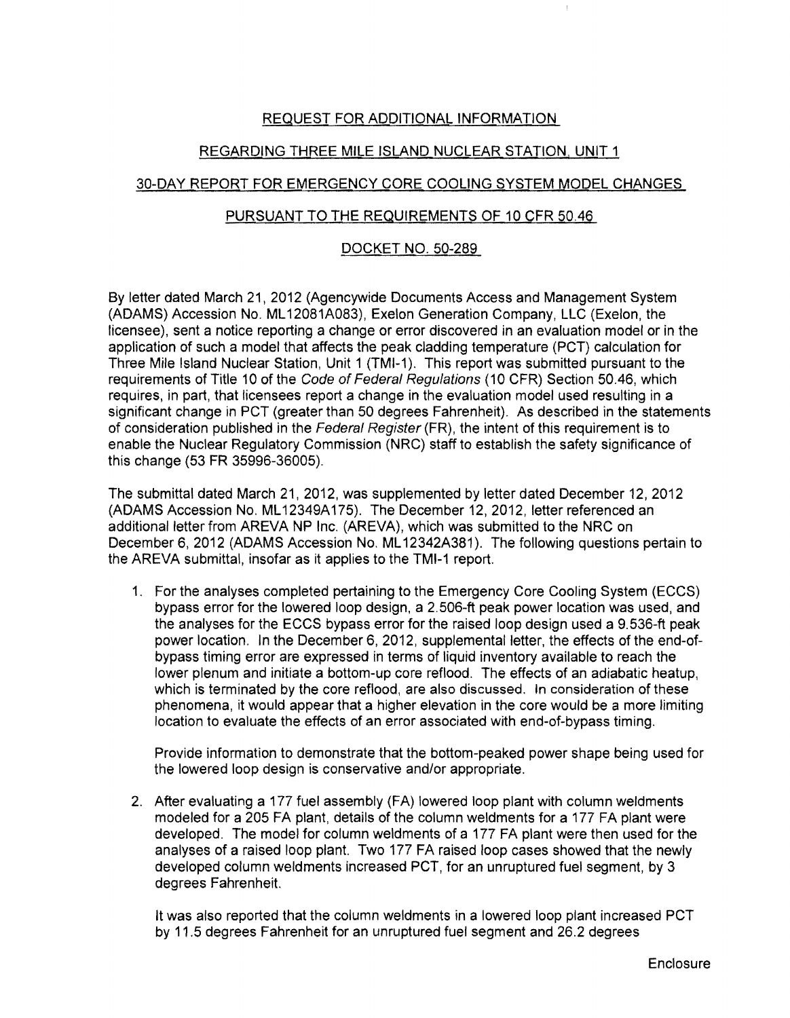# REQUEST FOR ADDITIONAL INFORMATION

# REGARDING THREE MILE ISLAND NUCLEAR STATION, UNIT 1

## 30-DAY REPORT FOR EMERGENCY CORE COOLING SYSTEM MODEL CHANGES

### PURSUANT TO THE REQUIREMENTS OF 10 CFR 50.46

### DOCKET NO. 50-289

By letter dated March 21,2012 (Agencywide Documents Access and Management System (ADAMS) Accession No. ML 12081A083), Exelon Generation Company, LLC (Exelon, the licensee), sent a notice reporting a change or error discovered in an evaluation model or in the application of such a model that affects the peak cladding temperature (PCT) calculation for Three Mile Island Nuclear Station, Unit 1 (TMI-1). This report was submitted pursuant to the requirements of Title 10 of the Code of Federal Regulations (10 CFR) Section 50.46, which requires, in part, that licensees report a change in the evaluation model used resulting in a significant change in PCT (greater than 50 degrees Fahrenheit). As described in the statements of consideration published in the Federal Register (FR), the intent of this requirement is to enable the Nuclear Regulatory Commission (NRC) staff to establish the safety significance of this change (53 FR 35996-36005).

The submittal dated March 21,2012, was supplemented by letter dated December 12, 2012 (ADAMS Accession No. ML 12349A175). The December 12, 2012, letter referenced an additional letter from AREVA NP Inc. (AREVA), which was submitted to the NRC on December 6,2012 (ADAMS Accession No. ML 12342A381). The following questions pertain to the AREVA submittal, insofar as it applies to the TMI-1 report.

1. For the analyses completed pertaining to the Emergency Core Cooling System (ECCS) bypass error for the lowered loop design, a 2.506-ft peak power location was used, and the analyses for the ECCS bypass error for the raised loop design used a 9.536-ft peak power location. In the December 6, 2012, supplemental letter, the effects of the end-ofbypass timing error are expressed in terms of liquid inventory available to reach the lower plenum and initiate a bottom-up core reflood. The effects of an adiabatic heatup, which is terminated by the core reflood, are also discussed. In consideration of these phenomena, it would appear that a higher elevation in the core would be a more limiting location to evaluate the effects of an error associated with end-of-bypass timing.

Provide information to demonstrate that the bottom-peaked power shape being used for the lowered loop design is conservative and/or appropriate.

2. After evaluating a 177 fuel assembly (FA) lowered loop plant with column weldments modeled for a 205 FA plant, details of the column weldments for a 177 FA plant were developed. The model for column weldments of a 177 FA plant were then used for the analyses of a raised loop plant. Two 177 FA raised loop cases showed that the newly developed column weldments increased PCT, for an unruptured fuel segment, by 3 degrees Fahrenheit.

It was also reported that the column weldments in a lowered loop plant increased PCT by 11.5 degrees Fahrenheit for an unruptured fuel segment and 26.2 degrees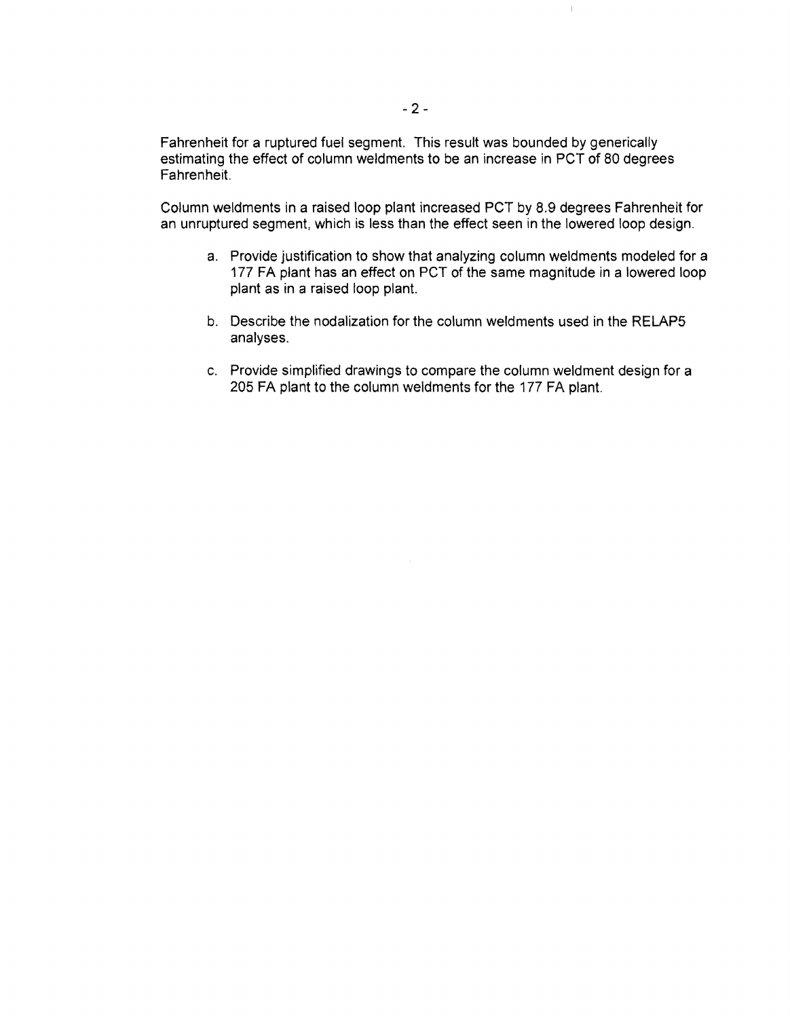Fahrenheit for a ruptured fuel segment. This result was bounded by generically estimating the effect of column weldments to be an increase in PCT of 80 degrees Fahrenheit.

Column weldments in a raised loop plant increased PCT by 8.9 degrees Fahrenheit for an unruptured segment, which is less than the effect seen in the lowered loop design.

a. Provide justification to show that analyzing column weldments modeled for a 177 FA plant has an effect on PCT of the same magnitude in a lowered loop plant as in a raised loop plant.

 $\mathop{\downarrow}$ 

- b. Describe the nodalization for the column weldments used in the RELAP5 analyses.
- c. Provide simplified drawings to compare the column weldment design for a 205 FA plant to the column weldments for the 177 FA plant.